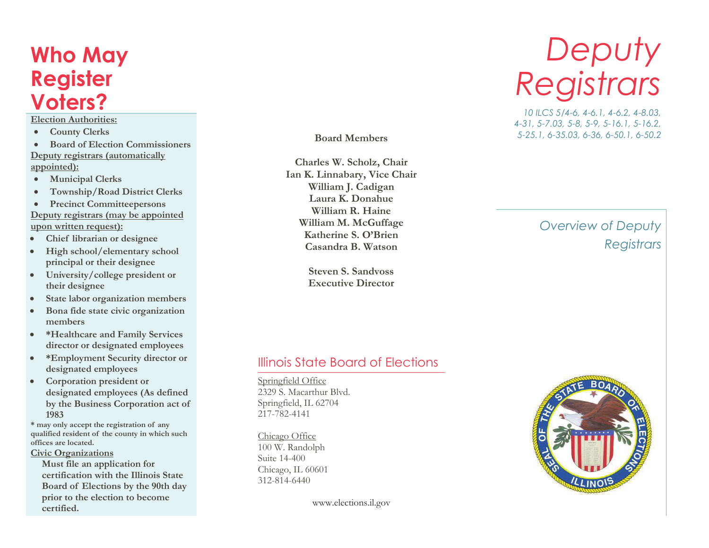# **Who May Register Voters?**

#### **Election Authorities:**

- ·**County Clerks**
- · **Board of Election Commissioners Deputy registrars (automatically appointed):**
- ·**Municipal Clerks**
- ·**Township/Road District Clerks**
- ·**Precinct Committeepersons**
- **Deputy registrars (may be appointed upon written request):**
- ·**Chief librarian or designee**
- $\bullet$  **High school/elementary school principal or their designee**
- · **University/college president or their designee**
- ·**State labor organization members**
- $\bullet$  **Bona fide state civic organization members**
- $\bullet$  **\*Healthcare and Family Services director or designated employees**
- · **\*Employment Security director or designated employees**
- $\bullet$  **Corporation president or designated employees (As defined by the Business Corporation act of 1983**

 **\* may only accept the registration of any qualified resident of the county in which such offices are located.** 

**Civic Organizations** 

**Must file an application for certification with the Illinois State Board of Elections by the 90th day prior to the election to become certified.**

**Board Members**

**Charles W. Scholz, Chair Ian K. Linnabary, Vice ChairWilliam J. Cadigan Laura K. Donahue William R. Haine William M. McGuffage Katherine S. O'BrienCasandra B. Watson**

> **Steven S. SandvossExecutive Director**

# *Deputy Registrars*

 *10 ILCS 5/4-6, 4-6.1, 4-6.2, 4-8.03, 4-31, 5-7.03, 5-8, 5-9, 5-16.1, 5-16.2, 5-25.1, 6-35.03, 6-36, 6-50.1, 6-50.2*

## *Overview of Deputy Registrars*

#### Illinois State Board of Elections

Springfield Office 2329 S. Macarthur Blvd.Springfield, IL 62704217-782-4141

Chicago Office 100 W. RandolphSuite 14-400 Chicago, IL 60601312-814-6440

www.elections.il.gov